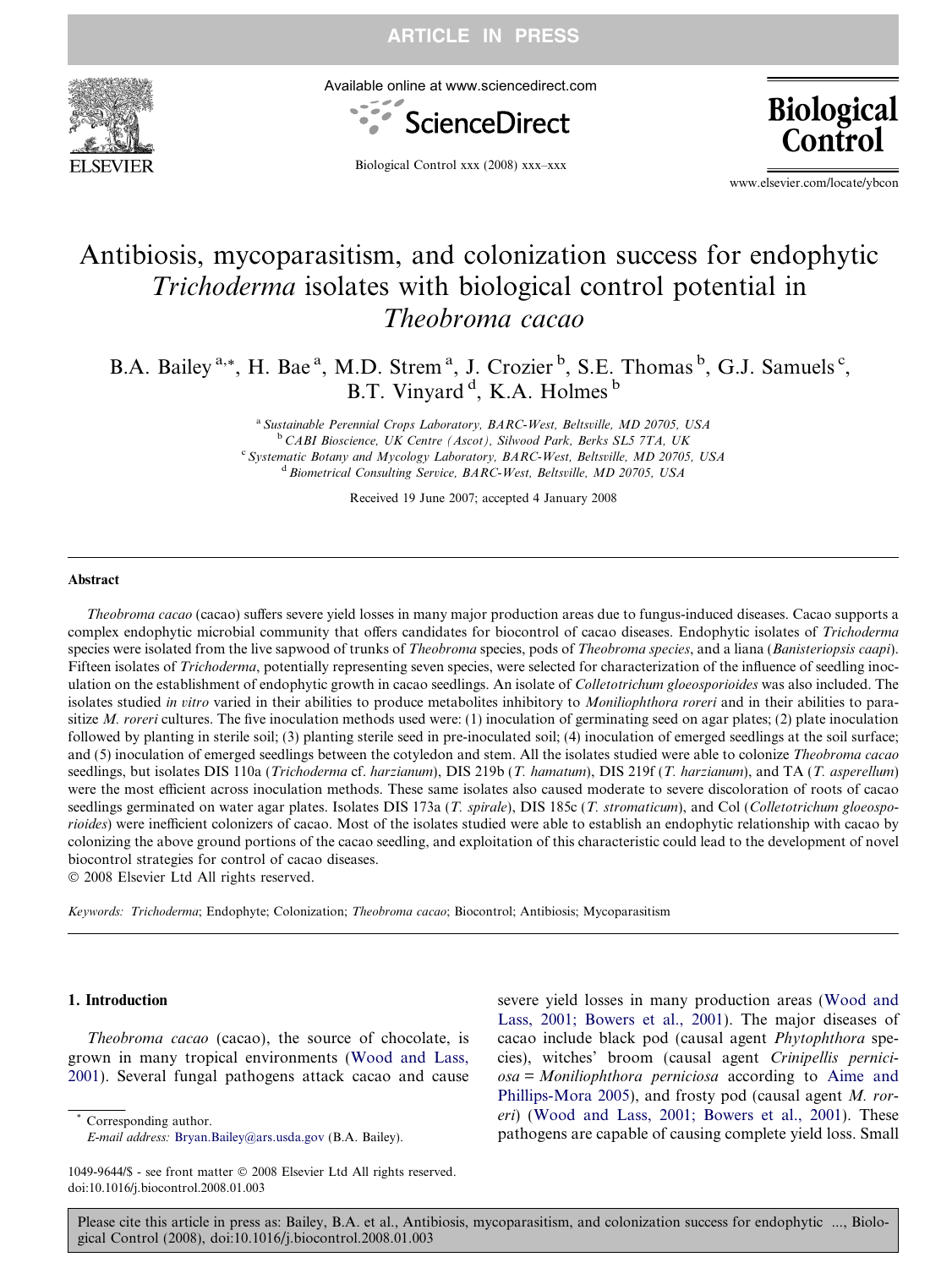

Available online at www.sciencedirect.com



**Biological** Control

Biological Control xxx (2008) xxx–xxx

www.elsevier.com/locate/ybcon

# Antibiosis, mycoparasitism, and colonization success for endophytic Trichoderma isolates with biological control potential in Theobroma cacao

B.A. Bailey<sup>a,\*</sup>, H. Bae<sup>a</sup>, M.D. Strem<sup>a</sup>, J. Crozier<sup>b</sup>, S.E. Thomas<sup>b</sup>, G.J. Samuels<sup>c</sup>, B.T. Vinyard<sup>d</sup>, K.A. Holmes<sup>b</sup>

> <sup>a</sup> Sustainable Perennial Crops Laboratory, BARC-West, Beltsville, MD 20705, USA <sup>b</sup> CABI Bioscience, UK Centre (Ascot), Silwood Park, Berks SL5 7TA, UK <sup>c</sup> Systematic Botany and Mycology Laboratory, BARC-West, Beltsville, MD 20705, USA  $d$  Biometrical Consulting Service, BARC-West, Beltsville, MD 20705, USA

> > Received 19 June 2007; accepted 4 January 2008

#### Abstract

Theobroma cacao (cacao) suffers severe yield losses in many major production areas due to fungus-induced diseases. Cacao supports a complex endophytic microbial community that offers candidates for biocontrol of cacao diseases. Endophytic isolates of Trichoderma species were isolated from the live sapwood of trunks of Theobroma species, pods of Theobroma species, and a liana (Banisteriopsis caapi). Fifteen isolates of *Trichoderma*, potentially representing seven species, were selected for characterization of the influence of seedling inoculation on the establishment of endophytic growth in cacao seedlings. An isolate of *Colletotrichum gloeosporioides* was also included. The isolates studied in vitro varied in their abilities to produce metabolites inhibitory to *Moniliophthora roreri* and in their abilities to parasitize M. roreri cultures. The five inoculation methods used were: (1) inoculation of germinating seed on agar plates; (2) plate inoculation followed by planting in sterile soil; (3) planting sterile seed in pre-inoculated soil; (4) inoculation of emerged seedlings at the soil surface; and (5) inoculation of emerged seedlings between the cotyledon and stem. All the isolates studied were able to colonize Theobroma cacao seedlings, but isolates DIS 110a (Trichoderma cf. harzianum), DIS 219b (T. hamatum), DIS 219f (T. harzianum), and TA (T. asperellum) were the most efficient across inoculation methods. These same isolates also caused moderate to severe discoloration of roots of cacao seedlings germinated on water agar plates. Isolates DIS 173a (T. spirale), DIS 185c (T. stromaticum), and Col (Colletotrichum gloeosporioides) were inefficient colonizers of cacao. Most of the isolates studied were able to establish an endophytic relationship with cacao by colonizing the above ground portions of the cacao seedling, and exploitation of this characteristic could lead to the development of novel biocontrol strategies for control of cacao diseases.

 $© 2008$  Elsevier Ltd All rights reserved.

Keywords: Trichoderma; Endophyte; Colonization; Theobroma cacao; Biocontrol; Antibiosis; Mycoparasitism

# 1. Introduction

Theobroma cacao (cacao), the source of chocolate, is grown in many tropical environments ([Wood and Lass,](#page-11-0) [2001](#page-11-0)). Several fungal pathogens attack cacao and cause severe yield losses in many production areas ([Wood and](#page-11-0) [Lass, 2001; Bowers et al., 2001\)](#page-11-0). The major diseases of cacao include black pod (causal agent Phytophthora species), witches' broom (causal agent Crinipellis pernici- $osa = Moniliophthora perniciosa according to Aime and$  $osa = Moniliophthora perniciosa according to Aime and$ [Phillips-Mora 2005](#page-10-0)), and frosty pod (causal agent M. roreri) ([Wood and Lass, 2001; Bowers et al., 2001\)](#page-11-0). These pathogens are capable of causing complete yield loss. Small

Corresponding author. E-mail address: [Bryan.Bailey@ars.usda.gov](mailto:Bryan.Bailey@ars.usda.gov) (B.A. Bailey).

1049-9644/\$ - see front matter © 2008 Elsevier Ltd All rights reserved. doi:10.1016/j.biocontrol.2008.01.003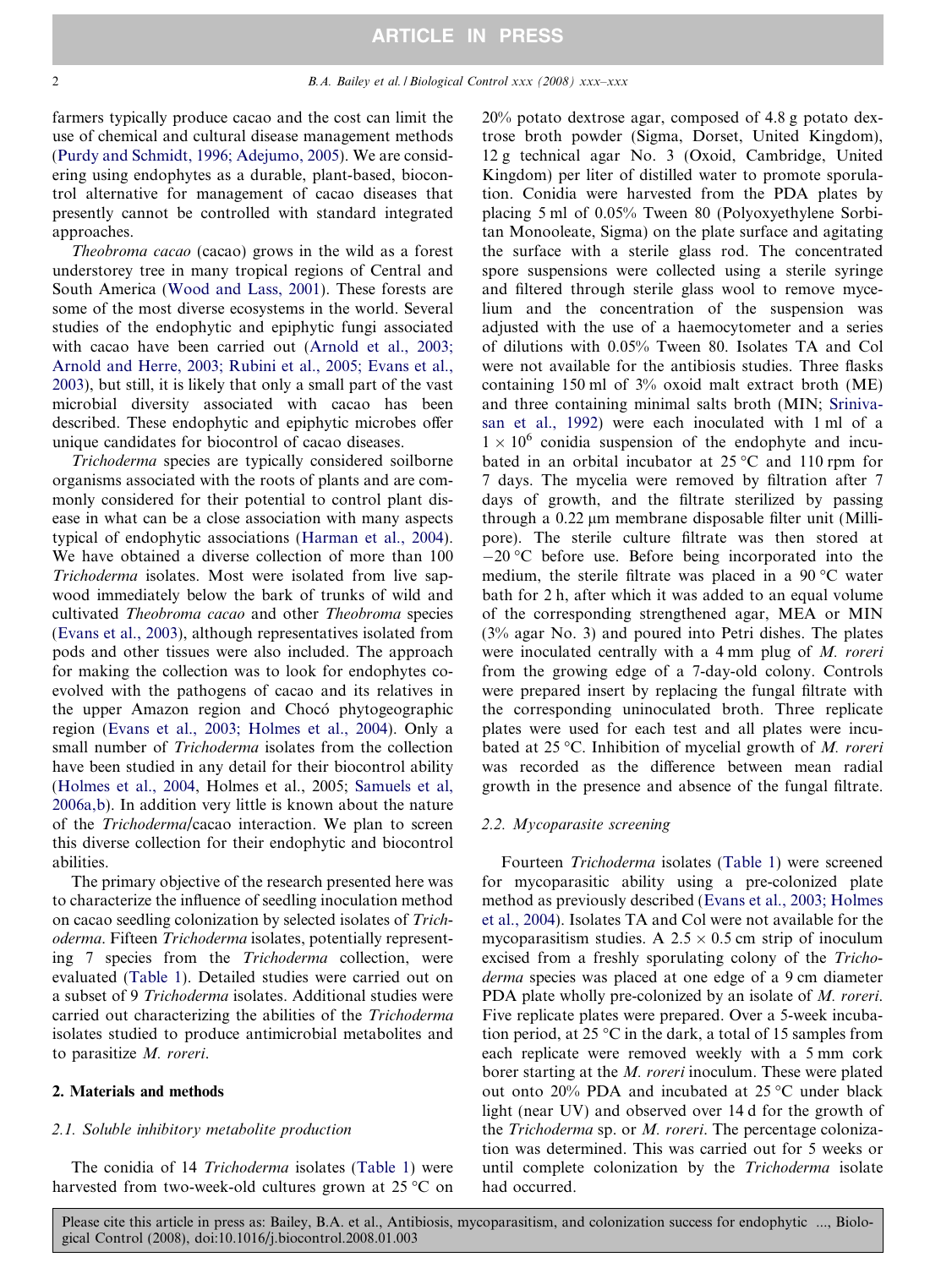farmers typically produce cacao and the cost can limit the use of chemical and cultural disease management methods [\(Purdy and Schmidt, 1996; Adejumo, 2005](#page-11-0)). We are considering using endophytes as a durable, plant-based, biocontrol alternative for management of cacao diseases that presently cannot be controlled with standard integrated approaches.

Theobroma cacao (cacao) grows in the wild as a forest understorey tree in many tropical regions of Central and South America [\(Wood and Lass, 2001\)](#page-11-0). These forests are some of the most diverse ecosystems in the world. Several studies of the endophytic and epiphytic fungi associated with cacao have been carried out ([Arnold et al., 2003;](#page-10-0) [Arnold and Herre, 2003; Rubini et al., 2005; Evans et al.,](#page-10-0) [2003\)](#page-10-0), but still, it is likely that only a small part of the vast microbial diversity associated with cacao has been described. These endophytic and epiphytic microbes offer unique candidates for biocontrol of cacao diseases.

Trichoderma species are typically considered soilborne organisms associated with the roots of plants and are commonly considered for their potential to control plant disease in what can be a close association with many aspects typical of endophytic associations ([Harman et al., 2004\)](#page-11-0). We have obtained a diverse collection of more than 100 Trichoderma isolates. Most were isolated from live sapwood immediately below the bark of trunks of wild and cultivated Theobroma cacao and other Theobroma species [\(Evans et al., 2003](#page-11-0)), although representatives isolated from pods and other tissues were also included. The approach for making the collection was to look for endophytes coevolved with the pathogens of cacao and its relatives in the upper Amazon region and Choco phytogeographic region ([Evans et al., 2003; Holmes et al., 2004\)](#page-11-0). Only a small number of Trichoderma isolates from the collection have been studied in any detail for their biocontrol ability [\(Holmes et al., 2004](#page-11-0), Holmes et al., 2005; [Samuels et al,](#page-11-0) [2006a,b\)](#page-11-0). In addition very little is known about the nature of the Trichoderma/cacao interaction. We plan to screen this diverse collection for their endophytic and biocontrol abilities.

The primary objective of the research presented here was to characterize the influence of seedling inoculation method on cacao seedling colonization by selected isolates of Trichoderma. Fifteen Trichoderma isolates, potentially representing 7 species from the Trichoderma collection, were evaluated ([Table 1\)](#page-2-0). Detailed studies were carried out on a subset of 9 Trichoderma isolates. Additional studies were carried out characterizing the abilities of the Trichoderma isolates studied to produce antimicrobial metabolites and to parasitize M. roreri.

#### 2. Materials and methods

#### 2.1. Soluble inhibitory metabolite production

The conidia of 14 Trichoderma isolates [\(Table 1\)](#page-2-0) were harvested from two-week-old cultures grown at  $25^{\circ}$ C on 20% potato dextrose agar, composed of 4.8 g potato dextrose broth powder (Sigma, Dorset, United Kingdom), 12 g technical agar No. 3 (Oxoid, Cambridge, United Kingdom) per liter of distilled water to promote sporulation. Conidia were harvested from the PDA plates by placing 5 ml of 0.05% Tween 80 (Polyoxyethylene Sorbitan Monooleate, Sigma) on the plate surface and agitating the surface with a sterile glass rod. The concentrated spore suspensions were collected using a sterile syringe and filtered through sterile glass wool to remove mycelium and the concentration of the suspension was adjusted with the use of a haemocytometer and a series of dilutions with 0.05% Tween 80. Isolates TA and Col were not available for the antibiosis studies. Three flasks containing 150 ml of 3% oxoid malt extract broth (ME) and three containing minimal salts broth (MIN; [Sriniva](#page-11-0)[san et al., 1992](#page-11-0)) were each inoculated with 1 ml of a  $1 \times 10^6$  conidia suspension of the endophyte and incubated in an orbital incubator at  $25^{\circ}$ C and 110 rpm for 7 days. The mycelia were removed by filtration after 7 days of growth, and the filtrate sterilized by passing through a  $0.22 \mu m$  membrane disposable filter unit (Millipore). The sterile culture filtrate was then stored at  $-20$  °C before use. Before being incorporated into the medium, the sterile filtrate was placed in a  $90^{\circ}$ C water bath for 2 h, after which it was added to an equal volume of the corresponding strengthened agar, MEA or MIN (3% agar No. 3) and poured into Petri dishes. The plates were inoculated centrally with a 4 mm plug of M. roreri from the growing edge of a 7-day-old colony. Controls were prepared insert by replacing the fungal filtrate with the corresponding uninoculated broth. Three replicate plates were used for each test and all plates were incubated at 25 °C. Inhibition of mycelial growth of  $M$ . roreri was recorded as the difference between mean radial growth in the presence and absence of the fungal filtrate.

### 2.2. Mycoparasite screening

Fourteen Trichoderma isolates ([Table 1\)](#page-2-0) were screened for mycoparasitic ability using a pre-colonized plate method as previously described [\(Evans et al., 2003; Holmes](#page-11-0) [et al., 2004\)](#page-11-0). Isolates TA and Col were not available for the mycoparasitism studies. A  $2.5 \times 0.5$  cm strip of inoculum excised from a freshly sporulating colony of the Trichoderma species was placed at one edge of a 9 cm diameter PDA plate wholly pre-colonized by an isolate of *M. roreri.* Five replicate plates were prepared. Over a 5-week incubation period, at 25 °C in the dark, a total of 15 samples from each replicate were removed weekly with a 5 mm cork borer starting at the M. roreri inoculum. These were plated out onto 20% PDA and incubated at  $25^{\circ}$ C under black light (near UV) and observed over 14 d for the growth of the Trichoderma sp. or M. roreri. The percentage colonization was determined. This was carried out for 5 weeks or until complete colonization by the Trichoderma isolate had occurred.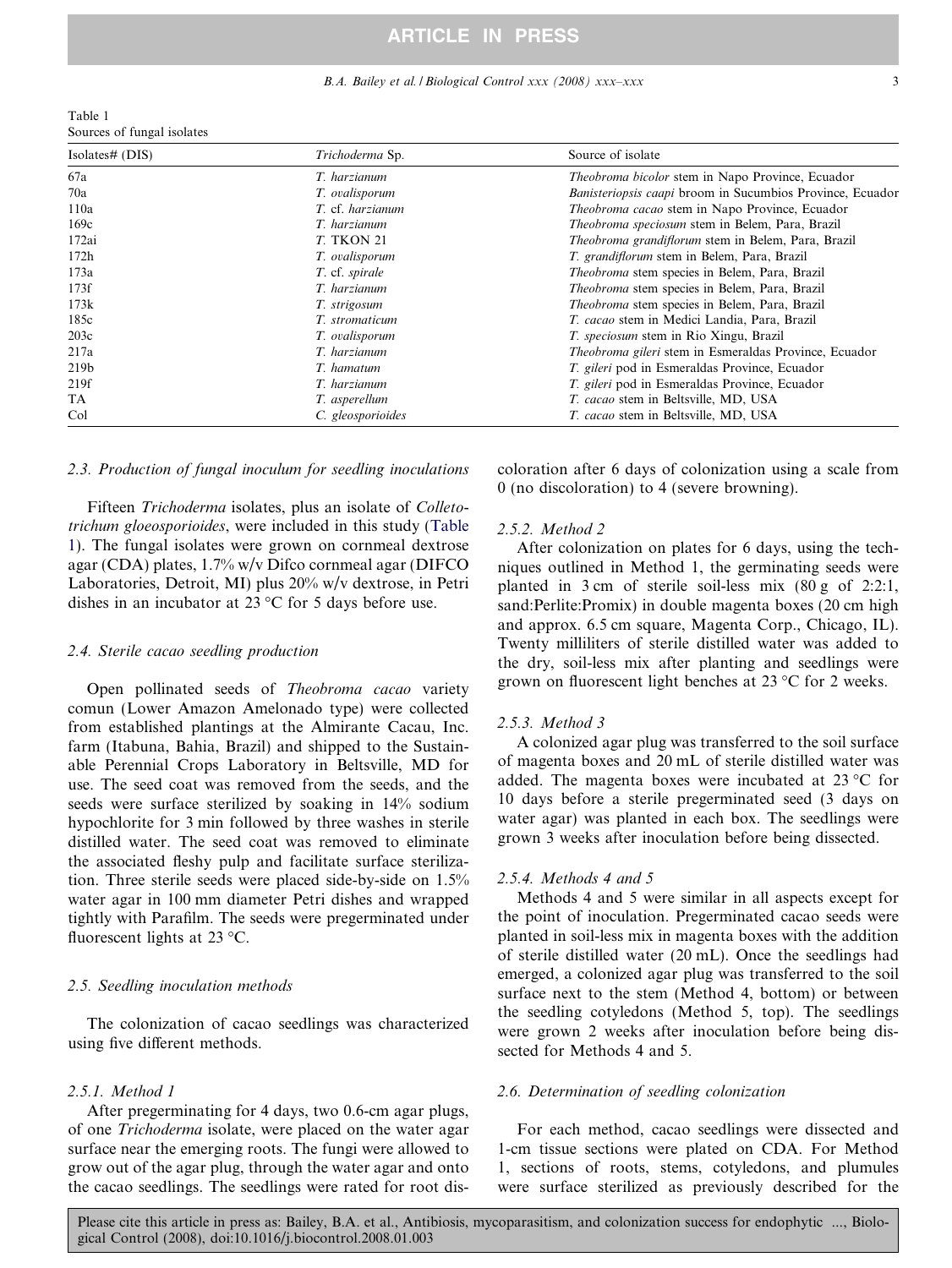#### B.A. Bailey et al. / Biological Control xxx (2008) xxx–xxx 3

| rabie i                    |  |  |
|----------------------------|--|--|
| Sources of fungal isolates |  |  |

<span id="page-2-0"></span>n alama

| Isolates# (DIS) | Trichoderma Sp.   | Source of isolate                                         |
|-----------------|-------------------|-----------------------------------------------------------|
| 67a             | T. harzianum      | <i>Theobroma bicolor</i> stem in Napo Province, Ecuador   |
| 70a             | T. ovalisporum    | Banisteriopsis caapi broom in Sucumbios Province, Ecuador |
| 110a            | T. cf. harzianum  | Theobroma cacao stem in Napo Province, Ecuador            |
| 169c            | T. harzianum      | Theobroma speciosum stem in Belem, Para, Brazil           |
| 172ai           | <b>T. TKON 21</b> | Theobroma grandiflorum stem in Belem, Para, Brazil        |
| 172h            | T. ovalisporum    | T. grandiflorum stem in Belem, Para, Brazil               |
| 173a            | T. cf. spirale    | Theobroma stem species in Belem, Para, Brazil             |
| 173f            | T. harzianum      | <i>Theobroma</i> stem species in Belem, Para, Brazil      |
| 173k            | T. strigosum      | Theobroma stem species in Belem, Para, Brazil             |
| 185c            | T. stromaticum    | T. cacao stem in Medici Landia, Para, Brazil              |
| 203c            | T. ovalisporum    | <i>T. speciosum</i> stem in Rio Xingu, Brazil             |
| 217a            | T. harzianum      | Theobroma gileri stem in Esmeraldas Province, Ecuador     |
| 219b            | T. hamatum        | T. gileri pod in Esmeraldas Province, Ecuador             |
| 219f            | T. harzianum      | T. gileri pod in Esmeraldas Province, Ecuador             |
| <b>TA</b>       | T. asperellum     | T. cacao stem in Beltsville, MD, USA                      |
| Col             | C. gleosporioides | <i>T. cacao</i> stem in Beltsville, MD, USA               |

# 2.3. Production of fungal inoculum for seedling inoculations

Fifteen Trichoderma isolates, plus an isolate of Colletotrichum gloeosporioides, were included in this study (Table 1). The fungal isolates were grown on cornmeal dextrose agar (CDA) plates, 1.7% w/v Difco cornmeal agar (DIFCO Laboratories, Detroit, MI) plus 20% w/v dextrose, in Petri dishes in an incubator at 23  $\mathrm{^{\circ}C}$  for 5 days before use.

#### 2.4. Sterile cacao seedling production

Open pollinated seeds of Theobroma cacao variety comun (Lower Amazon Amelonado type) were collected from established plantings at the Almirante Cacau, Inc. farm (Itabuna, Bahia, Brazil) and shipped to the Sustainable Perennial Crops Laboratory in Beltsville, MD for use. The seed coat was removed from the seeds, and the seeds were surface sterilized by soaking in 14% sodium hypochlorite for 3 min followed by three washes in sterile distilled water. The seed coat was removed to eliminate the associated fleshy pulp and facilitate surface sterilization. Three sterile seeds were placed side-by-side on 1.5% water agar in 100 mm diameter Petri dishes and wrapped tightly with Parafilm. The seeds were pregerminated under fluorescent lights at  $23^{\circ}$ C.

# 2.5. Seedling inoculation methods

The colonization of cacao seedlings was characterized using five different methods.

# 2.5.1. Method 1

After pregerminating for 4 days, two 0.6-cm agar plugs, of one Trichoderma isolate, were placed on the water agar surface near the emerging roots. The fungi were allowed to grow out of the agar plug, through the water agar and onto the cacao seedlings. The seedlings were rated for root discoloration after 6 days of colonization using a scale from 0 (no discoloration) to 4 (severe browning).

## 2.5.2. Method 2

After colonization on plates for 6 days, using the techniques outlined in Method 1, the germinating seeds were planted in 3 cm of sterile soil-less mix (80 g of 2:2:1, sand:Perlite:Promix) in double magenta boxes (20 cm high and approx. 6.5 cm square, Magenta Corp., Chicago, IL). Twenty milliliters of sterile distilled water was added to the dry, soil-less mix after planting and seedlings were grown on fluorescent light benches at  $23 \text{ °C}$  for 2 weeks.

#### 2.5.3. Method 3

A colonized agar plug was transferred to the soil surface of magenta boxes and 20 mL of sterile distilled water was added. The magenta boxes were incubated at  $23^{\circ}$ C for 10 days before a sterile pregerminated seed (3 days on water agar) was planted in each box. The seedlings were grown 3 weeks after inoculation before being dissected.

#### 2.5.4. Methods 4 and 5

Methods 4 and 5 were similar in all aspects except for the point of inoculation. Pregerminated cacao seeds were planted in soil-less mix in magenta boxes with the addition of sterile distilled water (20 mL). Once the seedlings had emerged, a colonized agar plug was transferred to the soil surface next to the stem (Method 4, bottom) or between the seedling cotyledons (Method 5, top). The seedlings were grown 2 weeks after inoculation before being dissected for Methods 4 and 5.

### 2.6. Determination of seedling colonization

For each method, cacao seedlings were dissected and 1-cm tissue sections were plated on CDA. For Method 1, sections of roots, stems, cotyledons, and plumules were surface sterilized as previously described for the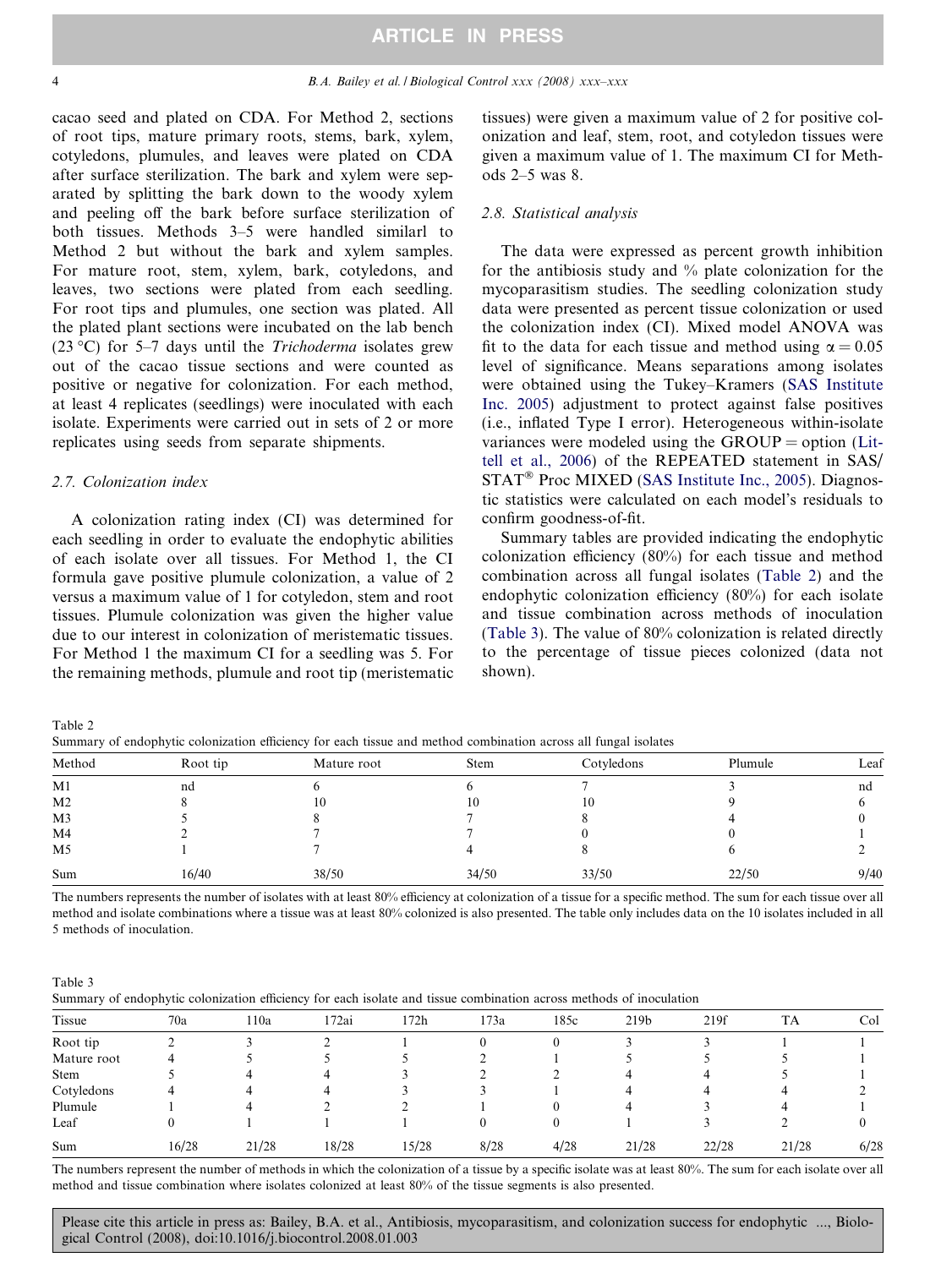<span id="page-3-0"></span>cacao seed and plated on CDA. For Method 2, sections of root tips, mature primary roots, stems, bark, xylem, cotyledons, plumules, and leaves were plated on CDA after surface sterilization. The bark and xylem were separated by splitting the bark down to the woody xylem and peeling off the bark before surface sterilization of both tissues. Methods 3–5 were handled similarl to Method 2 but without the bark and xylem samples. For mature root, stem, xylem, bark, cotyledons, and leaves, two sections were plated from each seedling. For root tips and plumules, one section was plated. All the plated plant sections were incubated on the lab bench (23 °C) for 5–7 days until the *Trichoderma* isolates grew out of the cacao tissue sections and were counted as positive or negative for colonization. For each method, at least 4 replicates (seedlings) were inoculated with each isolate. Experiments were carried out in sets of 2 or more replicates using seeds from separate shipments.

#### 2.7. Colonization index

A colonization rating index (CI) was determined for each seedling in order to evaluate the endophytic abilities of each isolate over all tissues. For Method 1, the CI formula gave positive plumule colonization, a value of 2 versus a maximum value of 1 for cotyledon, stem and root tissues. Plumule colonization was given the higher value due to our interest in colonization of meristematic tissues. For Method 1 the maximum CI for a seedling was 5. For the remaining methods, plumule and root tip (meristematic tissues) were given a maximum value of 2 for positive colonization and leaf, stem, root, and cotyledon tissues were given a maximum value of 1. The maximum CI for Methods 2–5 was 8.

#### 2.8. Statistical analysis

The data were expressed as percent growth inhibition for the antibiosis study and % plate colonization for the mycoparasitism studies. The seedling colonization study data were presented as percent tissue colonization or used the colonization index (CI). Mixed model ANOVA was fit to the data for each tissue and method using  $\alpha = 0.05$ level of significance. Means separations among isolates were obtained using the Tukey–Kramers [\(SAS Institute](#page-11-0) [Inc. 2005\)](#page-11-0) adjustment to protect against false positives (i.e., inflated Type I error). Heterogeneous within-isolate variances were modeled using the  $GROUP =$  option ([Lit](#page-11-0)[tell et al., 2006](#page-11-0)) of the REPEATED statement in SAS/  $STAT^{\circledR}$  Proc MIXED [\(SAS Institute Inc., 2005\)](#page-11-0). Diagnostic statistics were calculated on each model's residuals to confirm goodness-of-fit.

Summary tables are provided indicating the endophytic colonization efficiency (80%) for each tissue and method combination across all fungal isolates (Table 2) and the endophytic colonization efficiency (80%) for each isolate and tissue combination across methods of inoculation (Table 3). The value of 80% colonization is related directly to the percentage of tissue pieces colonized (data not shown).

Table 2

Summary of endophytic colonization efficiency for each tissue and method combination across all fungal isolates

| Method         | Root tip | Mature root | Stem  | Cotyledons | Plumule | Leaf |  |  |
|----------------|----------|-------------|-------|------------|---------|------|--|--|
| M1             | nd       |             |       |            |         | nd   |  |  |
| M <sub>2</sub> |          | 10          | 10    | 10         |         |      |  |  |
| M <sub>3</sub> |          |             |       |            |         |      |  |  |
| M <sub>4</sub> |          |             |       |            |         |      |  |  |
| M <sub>5</sub> |          |             |       |            |         |      |  |  |
| Sum            | 16/40    | 38/50       | 34/50 | 33/50      | 22/50   | 9/40 |  |  |

The numbers represents the number of isolates with at least 80% efficiency at colonization of a tissue for a specific method. The sum for each tissue over all method and isolate combinations where a tissue was at least 80% colonized is also presented. The table only includes data on the 10 isolates included in all 5 methods of inoculation.

| Table 3 |  |                                                                                                                     |  |  |  |  |  |
|---------|--|---------------------------------------------------------------------------------------------------------------------|--|--|--|--|--|
|         |  | Summary of endophytic colonization efficiency for each isolate and tissue combination across methods of inoculation |  |  |  |  |  |

| Tissue      | 70a   | 110a  | 172ai | 172h  | 173a | 185c | 219 <sub>b</sub> | 219f  | TA    | Col  |
|-------------|-------|-------|-------|-------|------|------|------------------|-------|-------|------|
| Root tip    |       |       |       |       |      |      |                  |       |       |      |
| Mature root | 4     |       |       |       |      |      |                  |       |       |      |
| Stem        |       |       | 4     |       |      |      | 4                | 4     |       |      |
| Cotyledons  | 4     |       | 4     |       |      |      | 4                | 4     | 4     |      |
| Plumule     |       |       |       |       |      |      | 4                |       | 4     |      |
| Leaf        |       |       |       |       |      |      |                  |       |       |      |
| Sum         | 16/28 | 21/28 | 18/28 | 15/28 | 8/28 | 4/28 | 21/28            | 22/28 | 21/28 | 6/28 |

The numbers represent the number of methods in which the colonization of a tissue by a specific isolate was at least 80%. The sum for each isolate over all method and tissue combination where isolates colonized at least 80% of the tissue segments is also presented.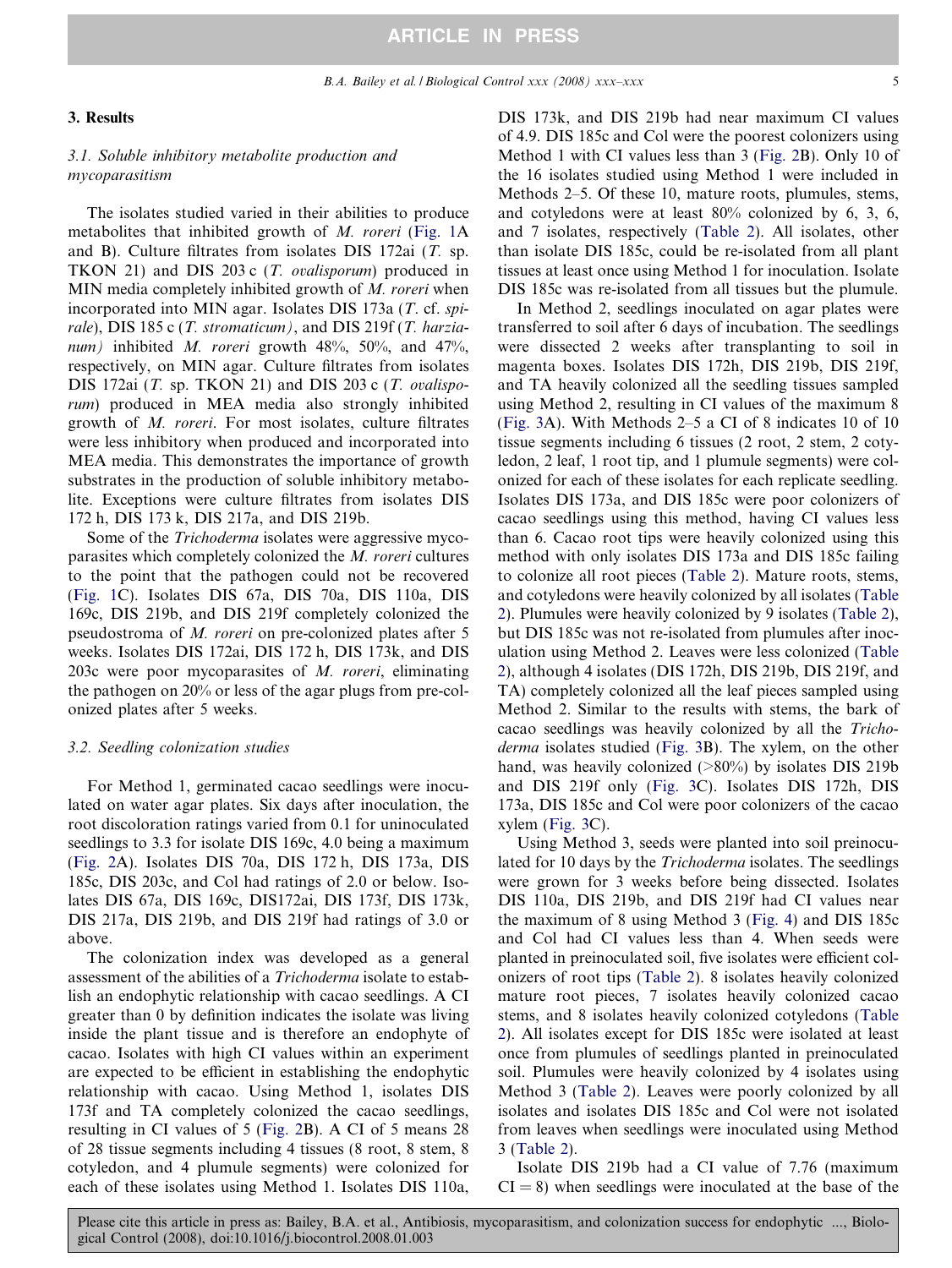# 3.1. Soluble inhibitory metabolite production and mycoparasitism

The isolates studied varied in their abilities to produce metabolites that inhibited growth of M. roreri [\(Fig. 1A](#page-5-0) and B). Culture filtrates from isolates DIS 172ai (T. sp. TKON 21) and DIS 203 c (T. ovalisporum) produced in MIN media completely inhibited growth of M. roreri when incorporated into MIN agar. Isolates DIS 173a (T. cf. spirale), DIS 185 c (T. stromaticum), and DIS 219f (T. harzianum) inhibited M. roreri growth  $48\%$ ,  $50\%$ , and  $47\%$ , respectively, on MIN agar. Culture filtrates from isolates DIS 172ai  $(T.$  sp. TKON 21) and DIS 203 c  $(T.$  ovalisporum) produced in MEA media also strongly inhibited growth of M. roreri. For most isolates, culture filtrates were less inhibitory when produced and incorporated into MEA media. This demonstrates the importance of growth substrates in the production of soluble inhibitory metabolite. Exceptions were culture filtrates from isolates DIS 172 h, DIS 173 k, DIS 217a, and DIS 219b.

Some of the Trichoderma isolates were aggressive mycoparasites which completely colonized the M. roreri cultures to the point that the pathogen could not be recovered ([Fig. 1C](#page-5-0)). Isolates DIS 67a, DIS 70a, DIS 110a, DIS 169c, DIS 219b, and DIS 219f completely colonized the pseudostroma of M. roreri on pre-colonized plates after 5 weeks. Isolates DIS 172ai, DIS 172 h, DIS 173k, and DIS 203c were poor mycoparasites of M. roreri, eliminating the pathogen on 20% or less of the agar plugs from pre-colonized plates after 5 weeks.

#### 3.2. Seedling colonization studies

For Method 1, germinated cacao seedlings were inoculated on water agar plates. Six days after inoculation, the root discoloration ratings varied from 0.1 for uninoculated seedlings to 3.3 for isolate DIS 169c, 4.0 being a maximum ([Fig. 2A](#page-6-0)). Isolates DIS 70a, DIS 172 h, DIS 173a, DIS 185c, DIS 203c, and Col had ratings of 2.0 or below. Isolates DIS 67a, DIS 169c, DIS172ai, DIS 173f, DIS 173k, DIS 217a, DIS 219b, and DIS 219f had ratings of 3.0 or above.

The colonization index was developed as a general assessment of the abilities of a Trichoderma isolate to establish an endophytic relationship with cacao seedlings. A CI greater than 0 by definition indicates the isolate was living inside the plant tissue and is therefore an endophyte of cacao. Isolates with high CI values within an experiment are expected to be efficient in establishing the endophytic relationship with cacao. Using Method 1, isolates DIS 173f and TA completely colonized the cacao seedlings, resulting in CI values of 5 ([Fig. 2B](#page-6-0)). A CI of 5 means 28 of 28 tissue segments including 4 tissues (8 root, 8 stem, 8 cotyledon, and 4 plumule segments) were colonized for each of these isolates using Method 1. Isolates DIS 110a, DIS 173k, and DIS 219b had near maximum CI values of 4.9. DIS 185c and Col were the poorest colonizers using Method 1 with CI values less than 3 [\(Fig. 2](#page-6-0)B). Only 10 of the 16 isolates studied using Method 1 were included in Methods 2–5. Of these 10, mature roots, plumules, stems, and cotyledons were at least 80% colonized by 6, 3, 6, and 7 isolates, respectively [\(Table 2](#page-3-0)). All isolates, other than isolate DIS 185c, could be re-isolated from all plant tissues at least once using Method 1 for inoculation. Isolate DIS 185c was re-isolated from all tissues but the plumule.

In Method 2, seedlings inoculated on agar plates were transferred to soil after 6 days of incubation. The seedlings were dissected 2 weeks after transplanting to soil in magenta boxes. Isolates DIS 172h, DIS 219b, DIS 219f, and TA heavily colonized all the seedling tissues sampled using Method 2, resulting in CI values of the maximum 8 ([Fig. 3](#page-7-0)A). With Methods 2–5 a CI of 8 indicates 10 of 10 tissue segments including 6 tissues (2 root, 2 stem, 2 cotyledon, 2 leaf, 1 root tip, and 1 plumule segments) were colonized for each of these isolates for each replicate seedling. Isolates DIS 173a, and DIS 185c were poor colonizers of cacao seedlings using this method, having CI values less than 6. Cacao root tips were heavily colonized using this method with only isolates DIS 173a and DIS 185c failing to colonize all root pieces [\(Table 2\)](#page-3-0). Mature roots, stems, and cotyledons were heavily colonized by all isolates [\(Table](#page-3-0) [2\)](#page-3-0). Plumules were heavily colonized by 9 isolates ([Table 2\)](#page-3-0), but DIS 185c was not re-isolated from plumules after inoculation using Method 2. Leaves were less colonized [\(Table](#page-3-0) [2\)](#page-3-0), although 4 isolates (DIS 172h, DIS 219b, DIS 219f, and TA) completely colonized all the leaf pieces sampled using Method 2. Similar to the results with stems, the bark of cacao seedlings was heavily colonized by all the Trichoderma isolates studied [\(Fig. 3B](#page-7-0)). The xylem, on the other hand, was heavily colonized  $(>80\%)$  by isolates DIS 219b and DIS 219f only [\(Fig. 3C](#page-7-0)). Isolates DIS 172h, DIS 173a, DIS 185c and Col were poor colonizers of the cacao xylem [\(Fig. 3C](#page-7-0)).

Using Method 3, seeds were planted into soil preinoculated for 10 days by the Trichoderma isolates. The seedlings were grown for 3 weeks before being dissected. Isolates DIS 110a, DIS 219b, and DIS 219f had CI values near the maximum of 8 using Method 3 [\(Fig. 4\)](#page-8-0) and DIS 185c and Col had CI values less than 4. When seeds were planted in preinoculated soil, five isolates were efficient colonizers of root tips ([Table 2\)](#page-3-0). 8 isolates heavily colonized mature root pieces, 7 isolates heavily colonized cacao stems, and 8 isolates heavily colonized cotyledons [\(Table](#page-3-0) [2\)](#page-3-0). All isolates except for DIS 185c were isolated at least once from plumules of seedlings planted in preinoculated soil. Plumules were heavily colonized by 4 isolates using Method 3 ([Table 2\)](#page-3-0). Leaves were poorly colonized by all isolates and isolates DIS 185c and Col were not isolated from leaves when seedlings were inoculated using Method 3 [\(Table 2\)](#page-3-0).

Isolate DIS 219b had a CI value of 7.76 (maximum  $CI = 8$ ) when seedlings were inoculated at the base of the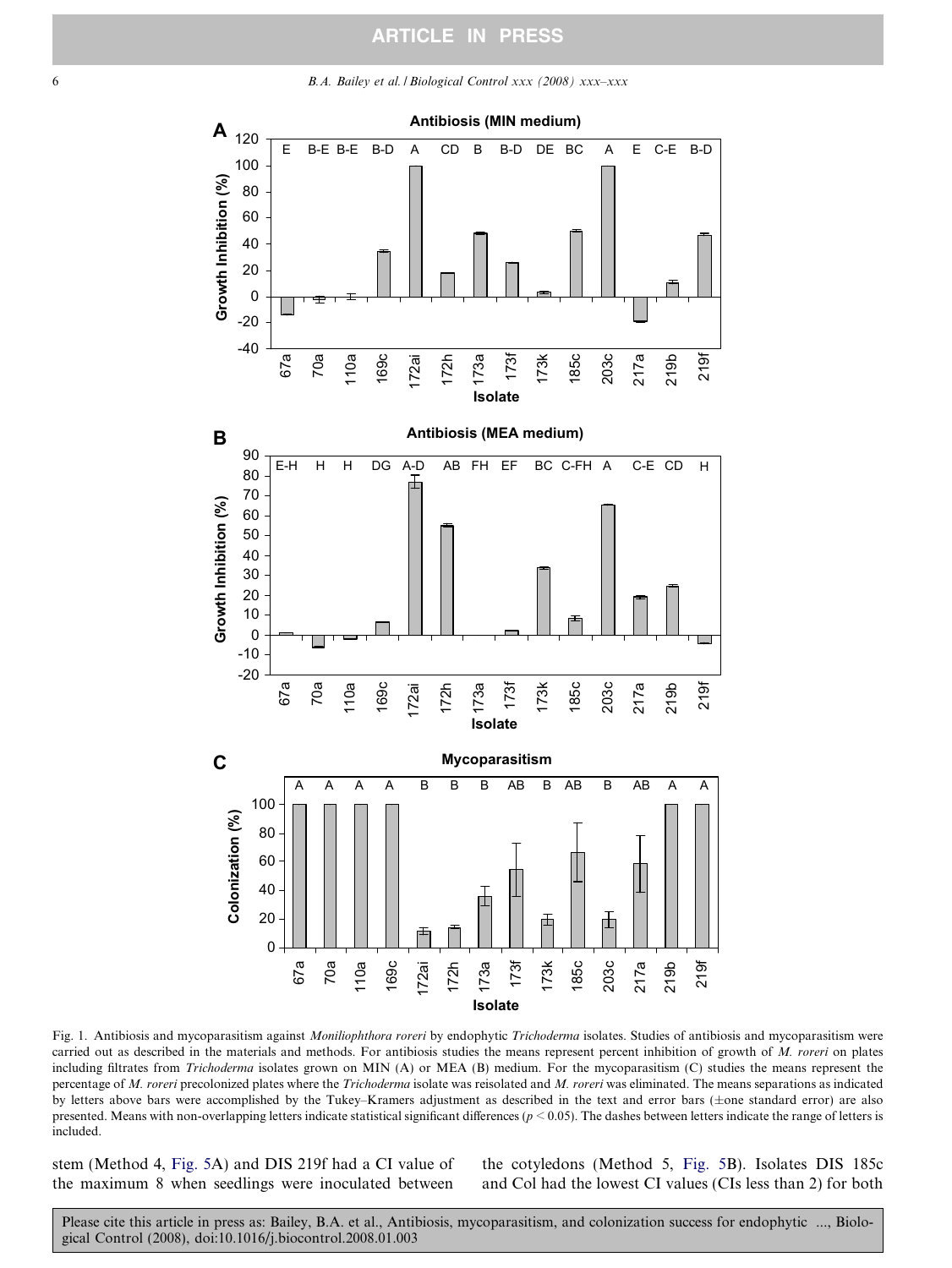

Fig. 1. Antibiosis and mycoparasitism against Moniliophthora roreri by endophytic Trichoderma isolates. Studies of antibiosis and mycoparasitism were carried out as described in the materials and methods. For antibiosis studies the means represent percent inhibition of growth of M. roreri on plates including filtrates from Trichoderma isolates grown on MIN (A) or MEA (B) medium. For the mycoparasitism (C) studies the means represent the percentage of M. roreri precolonized plates where the Trichoderma isolate was reisolated and M. roreri was eliminated. The means separations as indicated by letters above bars were accomplished by the Tukey–Kramers adjustment as described in the text and error bars (±one standard error) are also presented. Means with non-overlapping letters indicate statistical significant differences ( $p < 0.05$ ). The dashes between letters indicate the range of letters is included.

stem (Method 4, [Fig. 5](#page-8-0)A) and DIS 219f had a CI value of the maximum 8 when seedlings were inoculated between

the cotyledons (Method 5, [Fig. 5B](#page-8-0)). Isolates DIS 185c and Col had the lowest CI values (CIs less than 2) for both

<span id="page-5-0"></span>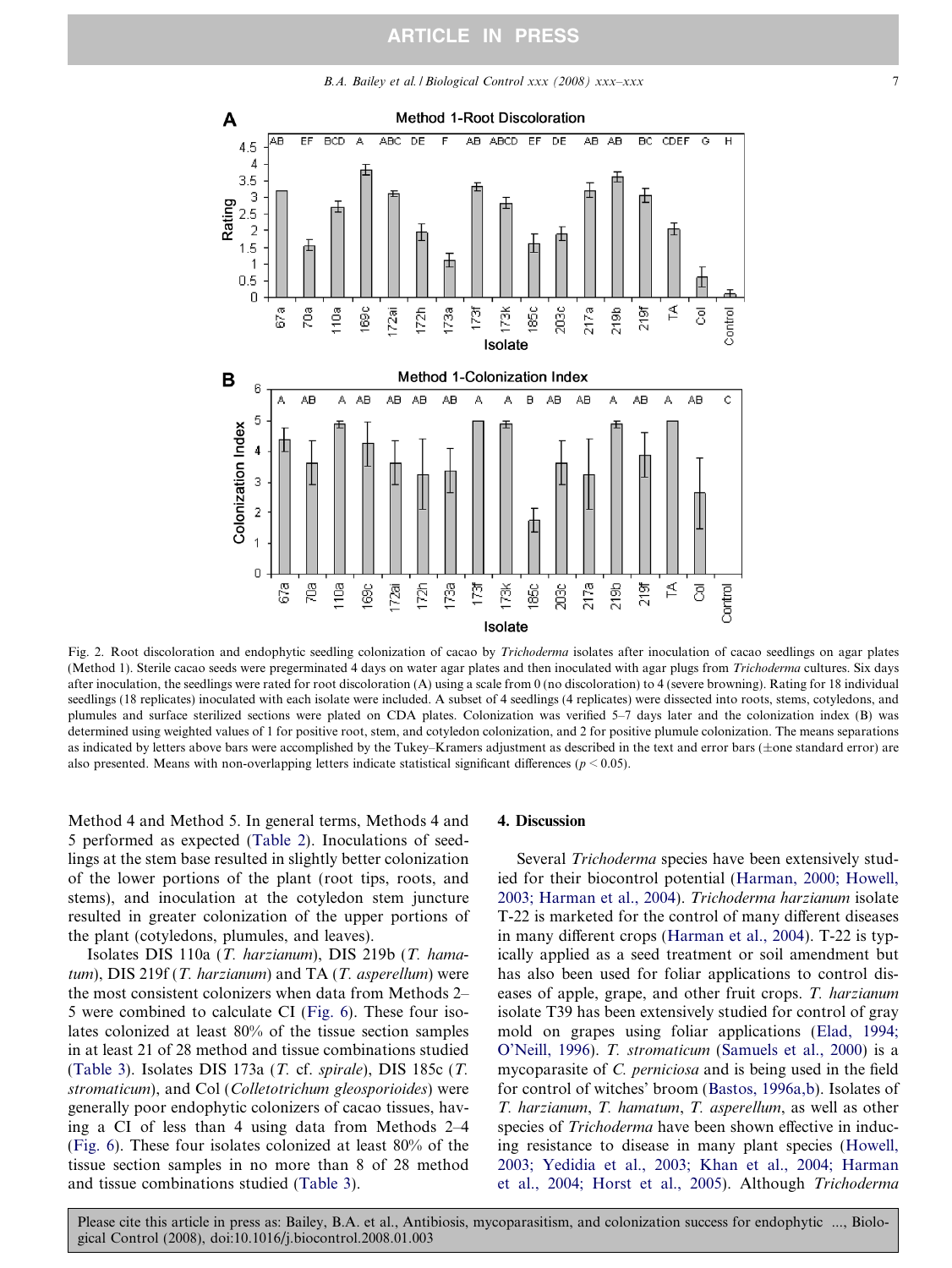B.A. Bailey et al. / Biological Control xxx (2008) xxx–xxx 7

<span id="page-6-0"></span>

Fig. 2. Root discoloration and endophytic seedling colonization of cacao by Trichoderma isolates after inoculation of cacao seedlings on agar plates (Method 1). Sterile cacao seeds were pregerminated 4 days on water agar plates and then inoculated with agar plugs from Trichoderma cultures. Six days after inoculation, the seedlings were rated for root discoloration (A) using a scale from 0 (no discoloration) to 4 (severe browning). Rating for 18 individual seedlings (18 replicates) inoculated with each isolate were included. A subset of 4 seedlings (4 replicates) were dissected into roots, stems, cotyledons, and plumules and surface sterilized sections were plated on CDA plates. Colonization was verified 5–7 days later and the colonization index (B) was determined using weighted values of 1 for positive root, stem, and cotyledon colonization, and 2 for positive plumule colonization. The means separations as indicated by letters above bars were accomplished by the Tukey–Kramers adjustment as described in the text and error bars (±one standard error) are also presented. Means with non-overlapping letters indicate statistical significant differences ( $p < 0.05$ ).

Method 4 and Method 5. In general terms, Methods 4 and 5 performed as expected ([Table 2](#page-3-0)). Inoculations of seedlings at the stem base resulted in slightly better colonization of the lower portions of the plant (root tips, roots, and stems), and inoculation at the cotyledon stem juncture resulted in greater colonization of the upper portions of the plant (cotyledons, plumules, and leaves).

Isolates DIS 110a (T. harzianum), DIS 219b (T. hamatum), DIS 219f (T. harzianum) and TA (T. asperellum) were the most consistent colonizers when data from Methods 2– 5 were combined to calculate CI [\(Fig. 6\)](#page-9-0). These four isolates colonized at least 80% of the tissue section samples in at least 21 of 28 method and tissue combinations studied ([Table 3\)](#page-3-0). Isolates DIS 173a (T. cf. spirale), DIS 185c (T. stromaticum), and Col (Colletotrichum gleosporioides) were generally poor endophytic colonizers of cacao tissues, having a CI of less than 4 using data from Methods 2–4 ([Fig. 6\)](#page-9-0). These four isolates colonized at least 80% of the tissue section samples in no more than 8 of 28 method and tissue combinations studied [\(Table 3\)](#page-3-0).

#### 4. Discussion

Several Trichoderma species have been extensively studied for their biocontrol potential ([Harman, 2000; Howell,](#page-11-0) [2003; Harman et al., 2004\)](#page-11-0). Trichoderma harzianum isolate T-22 is marketed for the control of many different diseases in many different crops ([Harman et al., 2004](#page-11-0)). T-22 is typically applied as a seed treatment or soil amendment but has also been used for foliar applications to control diseases of apple, grape, and other fruit crops. T. harzianum isolate T39 has been extensively studied for control of gray mold on grapes using foliar applications ([Elad, 1994;](#page-11-0) [O'Neill, 1996](#page-11-0)). T. stromaticum ([Samuels et al., 2000\)](#page-11-0) is a mycoparasite of C. perniciosa and is being used in the field for control of witches' broom [\(Bastos, 1996a,b\)](#page-10-0). Isolates of T. harzianum, T. hamatum, T. asperellum, as well as other species of *Trichoderma* have been shown effective in inducing resistance to disease in many plant species [\(Howell,](#page-11-0) [2003; Yedidia et al., 2003; Khan et al., 2004; Harman](#page-11-0) [et al., 2004; Horst et al., 2005\)](#page-11-0). Although Trichoderma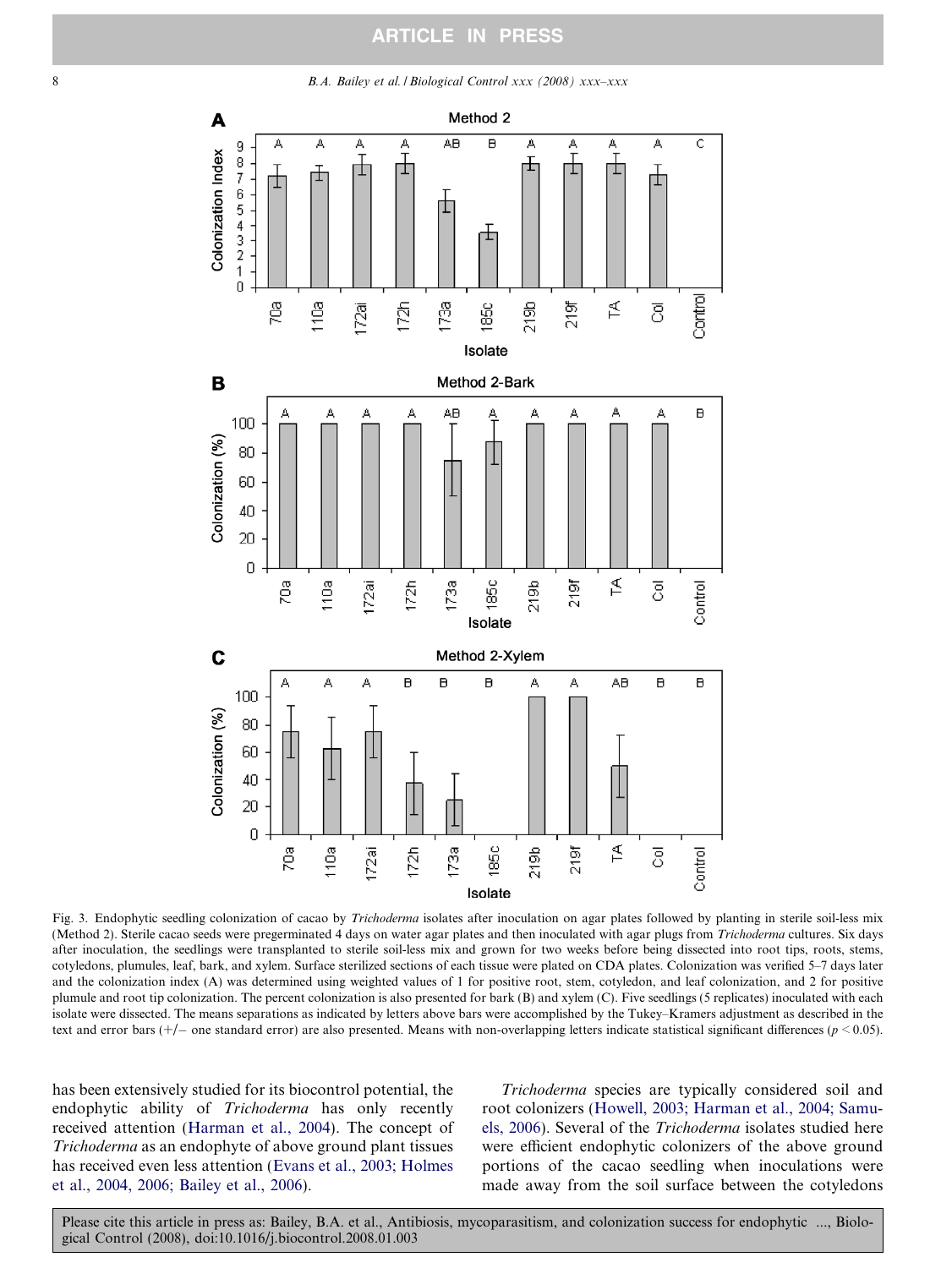<span id="page-7-0"></span>

Fig. 3. Endophytic seedling colonization of cacao by Trichoderma isolates after inoculation on agar plates followed by planting in sterile soil-less mix (Method 2). Sterile cacao seeds were pregerminated 4 days on water agar plates and then inoculated with agar plugs from Trichoderma cultures. Six days after inoculation, the seedlings were transplanted to sterile soil-less mix and grown for two weeks before being dissected into root tips, roots, stems, cotyledons, plumules, leaf, bark, and xylem. Surface sterilized sections of each tissue were plated on CDA plates. Colonization was verified 5–7 days later and the colonization index (A) was determined using weighted values of 1 for positive root, stem, cotyledon, and leaf colonization, and 2 for positive plumule and root tip colonization. The percent colonization is also presented for bark (B) and xylem (C). Five seedlings (5 replicates) inoculated with each isolate were dissected. The means separations as indicated by letters above bars were accomplished by the Tukey–Kramers adjustment as described in the text and error bars  $(+/-$  one standard error) are also presented. Means with non-overlapping letters indicate statistical significant differences ( $p < 0.05$ ).

has been extensively studied for its biocontrol potential, the endophytic ability of Trichoderma has only recently received attention ([Harman et al., 2004\)](#page-11-0). The concept of Trichoderma as an endophyte of above ground plant tissues has received even less attention ([Evans et al., 2003; Holmes](#page-11-0) [et al., 2004, 2006; Bailey et al., 2006](#page-11-0)).

Trichoderma species are typically considered soil and root colonizers ([Howell, 2003; Harman et al., 2004; Samu](#page-11-0)[els, 2006](#page-11-0)). Several of the Trichoderma isolates studied here were efficient endophytic colonizers of the above ground portions of the cacao seedling when inoculations were made away from the soil surface between the cotyledons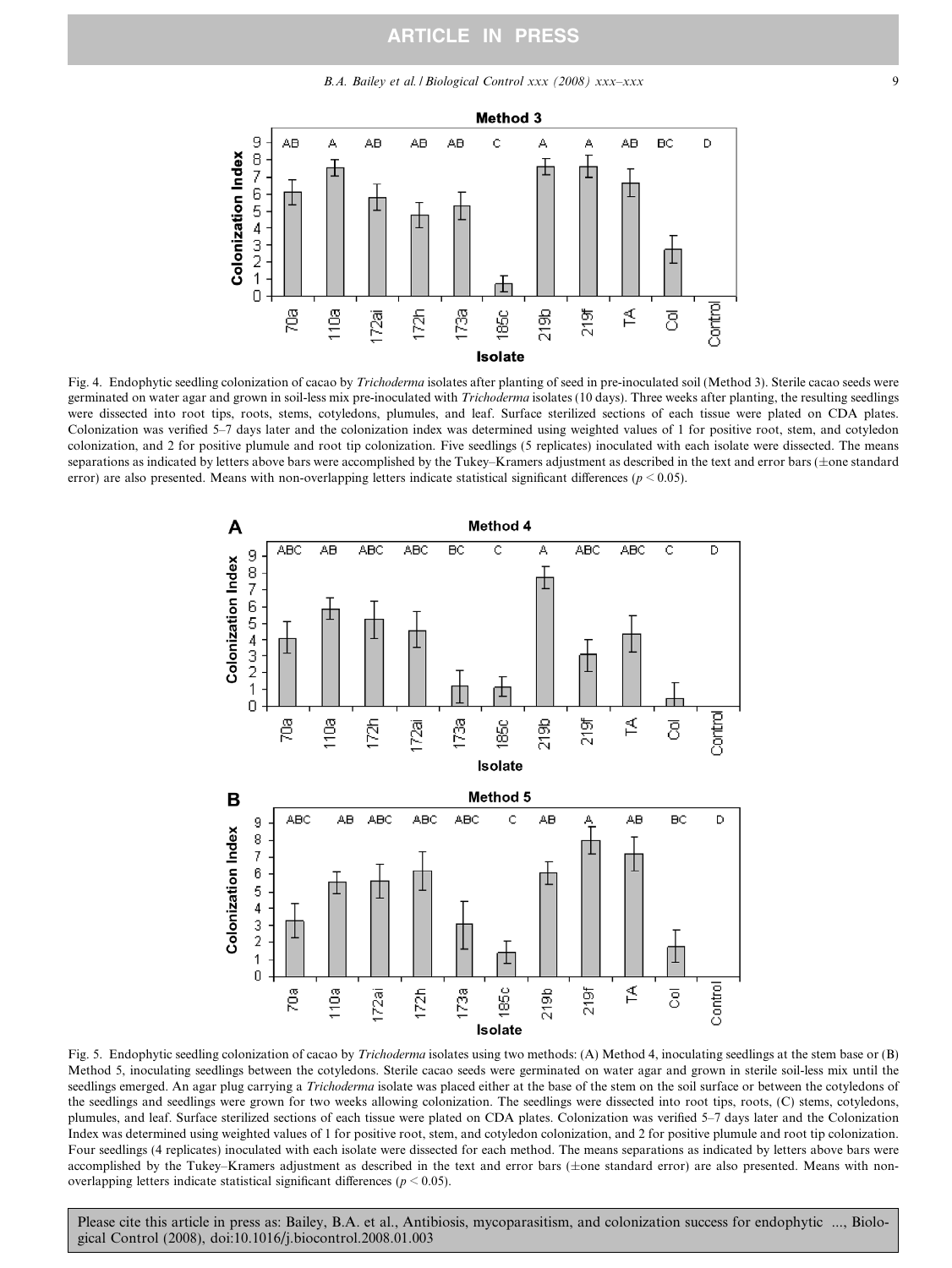B.A. Bailey et al. / Biological Control xxx (2008) xxx-xxx

<span id="page-8-0"></span>

Fig. 4. Endophytic seedling colonization of cacao by Trichoderma isolates after planting of seed in pre-inoculated soil (Method 3). Sterile cacao seeds were germinated on water agar and grown in soil-less mix pre-inoculated with *Trichoderma* isolates (10 days). Three weeks after planting, the resulting seedlings were dissected into root tips, roots, stems, cotyledons, plumules, and leaf. Surface sterilized sections of each tissue were plated on CDA plates. Colonization was verified 5–7 days later and the colonization index was determined using weighted values of 1 for positive root, stem, and cotyledon colonization, and 2 for positive plumule and root tip colonization. Five seedlings (5 replicates) inoculated with each isolate were dissected. The means separations as indicated by letters above bars were accomplished by the Tukey–Kramers adjustment as described in the text and error bars (±one standard error) are also presented. Means with non-overlapping letters indicate statistical significant differences ( $p < 0.05$ ).



Fig. 5. Endophytic seedling colonization of cacao by *Trichoderma* isolates using two methods: (A) Method 4, inoculating seedlings at the stem base or (B) Method 5, inoculating seedlings between the cotyledons. Sterile cacao seeds were germinated on water agar and grown in sterile soil-less mix until the seedlings emerged. An agar plug carrying a Trichoderma isolate was placed either at the base of the stem on the soil surface or between the cotyledons of the seedlings and seedlings were grown for two weeks allowing colonization. The seedlings were dissected into root tips, roots, (C) stems, cotyledons, plumules, and leaf. Surface sterilized sections of each tissue were plated on CDA plates. Colonization was verified 5–7 days later and the Colonization Index was determined using weighted values of 1 for positive root, stem, and cotyledon colonization, and 2 for positive plumule and root tip colonization. Four seedlings (4 replicates) inoculated with each isolate were dissected for each method. The means separations as indicated by letters above bars were accomplished by the Tukey–Kramers adjustment as described in the text and error bars (±one standard error) are also presented. Means with nonoverlapping letters indicate statistical significant differences ( $p \le 0.05$ ).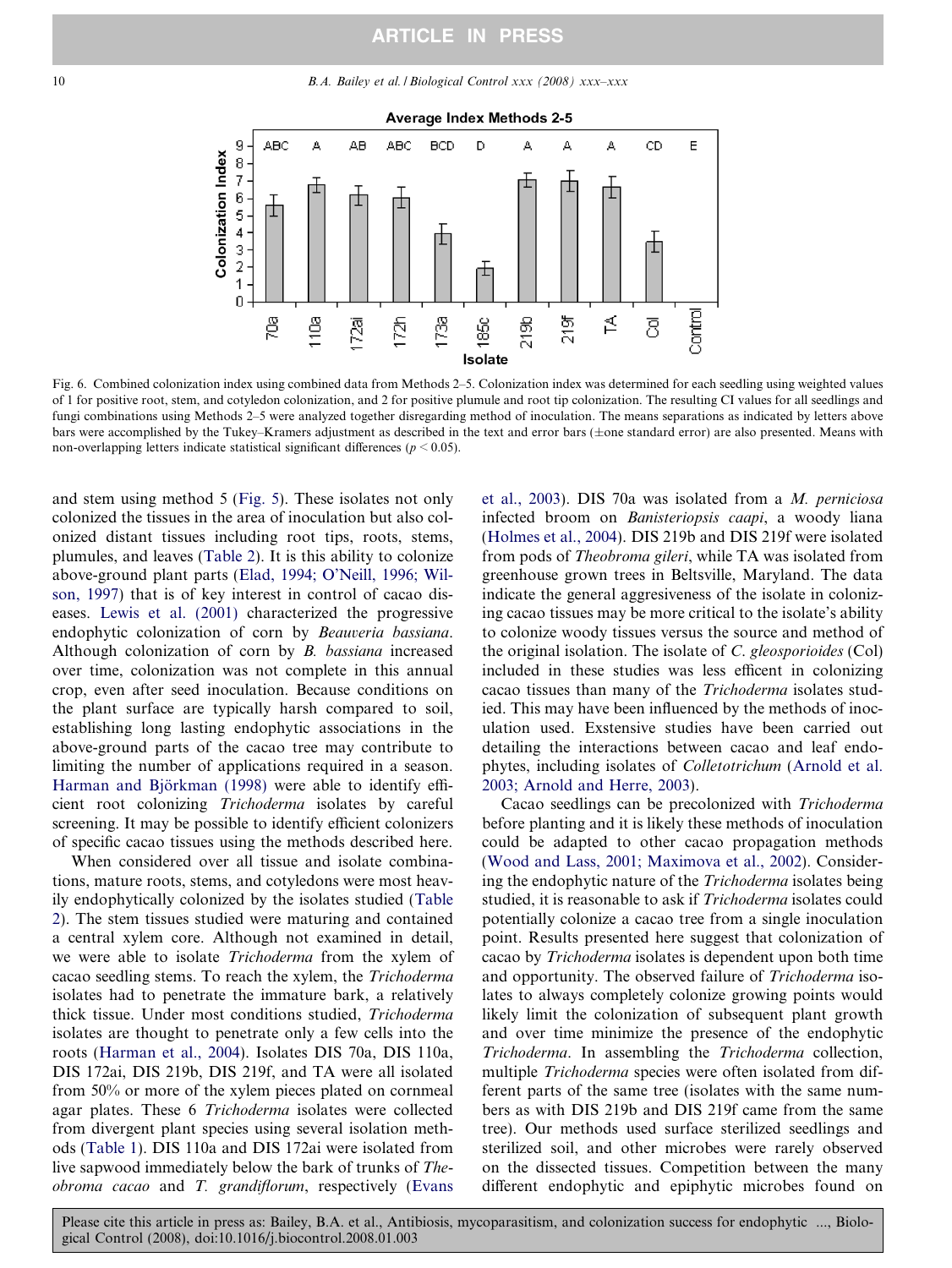<span id="page-9-0"></span>10 **B.A. Bailey et al. / Biological Control xxx** (2008) xxx–xxx



**Average Index Methods 2-5** 

Fig. 6. Combined colonization index using combined data from Methods 2–5. Colonization index was determined for each seedling using weighted values of 1 for positive root, stem, and cotyledon colonization, and 2 for positive plumule and root tip colonization. The resulting CI values for all seedlings and fungi combinations using Methods 2–5 were analyzed together disregarding method of inoculation. The means separations as indicated by letters above bars were accomplished by the Tukey–Kramers adjustment as described in the text and error bars (±one standard error) are also presented. Means with non-overlapping letters indicate statistical significant differences ( $p \le 0.05$ ).

and stem using method 5 [\(Fig. 5\)](#page-8-0). These isolates not only colonized the tissues in the area of inoculation but also colonized distant tissues including root tips, roots, stems, plumules, and leaves [\(Table 2\)](#page-3-0). It is this ability to colonize above-ground plant parts ([Elad, 1994; O'Neill, 1996; Wil](#page-11-0)[son, 1997](#page-11-0)) that is of key interest in control of cacao diseases. [Lewis et al. \(2001\)](#page-11-0) characterized the progressive endophytic colonization of corn by Beauveria bassiana. Although colonization of corn by B. bassiana increased over time, colonization was not complete in this annual crop, even after seed inoculation. Because conditions on the plant surface are typically harsh compared to soil, establishing long lasting endophytic associations in the above-ground parts of the cacao tree may contribute to limiting the number of applications required in a season. Harman and Björkman (1998) were able to identify efficient root colonizing Trichoderma isolates by careful screening. It may be possible to identify efficient colonizers of specific cacao tissues using the methods described here.

When considered over all tissue and isolate combinations, mature roots, stems, and cotyledons were most heavily endophytically colonized by the isolates studied ([Table](#page-3-0) [2\)](#page-3-0). The stem tissues studied were maturing and contained a central xylem core. Although not examined in detail, we were able to isolate Trichoderma from the xylem of cacao seedling stems. To reach the xylem, the Trichoderma isolates had to penetrate the immature bark, a relatively thick tissue. Under most conditions studied, Trichoderma isolates are thought to penetrate only a few cells into the roots ([Harman et al., 2004](#page-11-0)). Isolates DIS 70a, DIS 110a, DIS 172ai, DIS 219b, DIS 219f, and TA were all isolated from 50% or more of the xylem pieces plated on cornmeal agar plates. These 6 Trichoderma isolates were collected from divergent plant species using several isolation methods ([Table 1](#page-2-0)). DIS 110a and DIS 172ai were isolated from live sapwood immediately below the bark of trunks of Theobroma cacao and T. grandiflorum, respectively ([Evans](#page-11-0)

[et al., 2003\)](#page-11-0). DIS 70a was isolated from a M. perniciosa infected broom on Banisteriopsis caapi, a woody liana [\(Holmes et al., 2004](#page-11-0)). DIS 219b and DIS 219f were isolated from pods of Theobroma gileri, while TA was isolated from greenhouse grown trees in Beltsville, Maryland. The data indicate the general aggresiveness of the isolate in colonizing cacao tissues may be more critical to the isolate's ability to colonize woody tissues versus the source and method of the original isolation. The isolate of C. gleosporioides (Col) included in these studies was less efficent in colonizing cacao tissues than many of the Trichoderma isolates studied. This may have been influenced by the methods of inoculation used. Exstensive studies have been carried out detailing the interactions between cacao and leaf endophytes, including isolates of Colletotrichum [\(Arnold et al.](#page-10-0) [2003; Arnold and Herre, 2003\)](#page-10-0).

Cacao seedlings can be precolonized with Trichoderma before planting and it is likely these methods of inoculation could be adapted to other cacao propagation methods [\(Wood and Lass, 2001; Maximova et al., 2002\)](#page-11-0). Considering the endophytic nature of the Trichoderma isolates being studied, it is reasonable to ask if Trichoderma isolates could potentially colonize a cacao tree from a single inoculation point. Results presented here suggest that colonization of cacao by Trichoderma isolates is dependent upon both time and opportunity. The observed failure of Trichoderma isolates to always completely colonize growing points would likely limit the colonization of subsequent plant growth and over time minimize the presence of the endophytic Trichoderma. In assembling the Trichoderma collection, multiple Trichoderma species were often isolated from different parts of the same tree (isolates with the same numbers as with DIS 219b and DIS 219f came from the same tree). Our methods used surface sterilized seedlings and sterilized soil, and other microbes were rarely observed on the dissected tissues. Competition between the many different endophytic and epiphytic microbes found on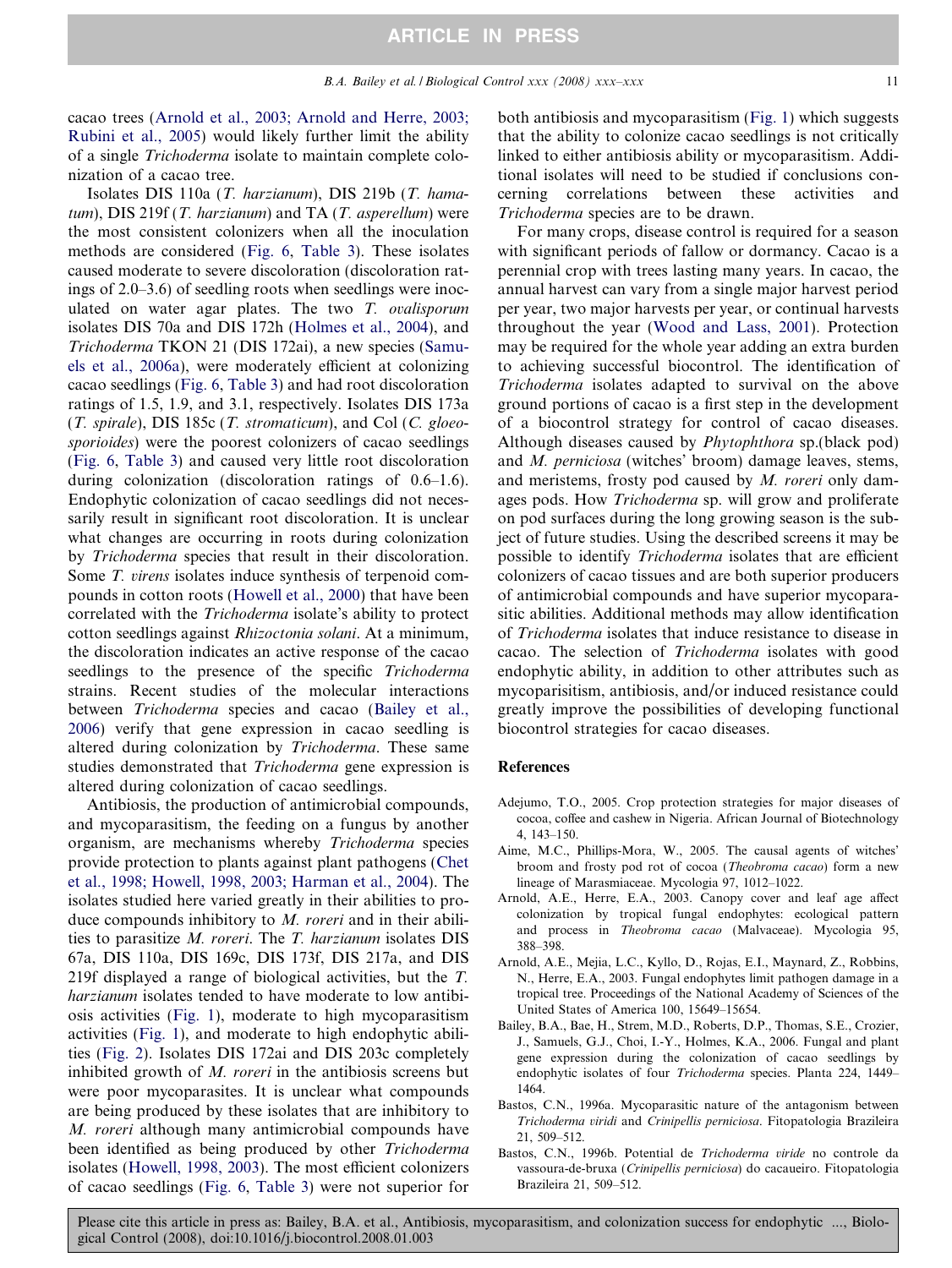<span id="page-10-0"></span>cacao trees (Arnold et al., 2003; Arnold and Herre, 2003; Rubini et al., 2005) would likely further limit the ability of a single Trichoderma isolate to maintain complete colonization of a cacao tree.

Isolates DIS 110a (T. harzianum), DIS 219b (T. hamatum), DIS 219f (T. harzianum) and TA (T. asperellum) were the most consistent colonizers when all the inoculation methods are considered ([Fig. 6](#page-9-0), [Table 3](#page-3-0)). These isolates caused moderate to severe discoloration (discoloration ratings of 2.0–3.6) of seedling roots when seedlings were inoculated on water agar plates. The two T. ovalisporum isolates DIS 70a and DIS 172h [\(Holmes et al., 2004](#page-11-0)), and Trichoderma TKON 21 (DIS 172ai), a new species [\(Samu](#page-11-0)[els et al., 2006a\)](#page-11-0), were moderately efficient at colonizing cacao seedlings ([Fig. 6](#page-9-0), [Table 3](#page-3-0)) and had root discoloration ratings of 1.5, 1.9, and 3.1, respectively. Isolates DIS 173a (T. spirale), DIS 185c (T. stromaticum), and Col (C. gloeosporioides) were the poorest colonizers of cacao seedlings ([Fig. 6,](#page-9-0) [Table 3](#page-3-0)) and caused very little root discoloration during colonization (discoloration ratings of 0.6–1.6). Endophytic colonization of cacao seedlings did not necessarily result in significant root discoloration. It is unclear what changes are occurring in roots during colonization by Trichoderma species that result in their discoloration. Some T. virens isolates induce synthesis of terpenoid compounds in cotton roots ([Howell et al., 2000](#page-11-0)) that have been correlated with the Trichoderma isolate's ability to protect cotton seedlings against Rhizoctonia solani. At a minimum, the discoloration indicates an active response of the cacao seedlings to the presence of the specific *Trichoderma* strains. Recent studies of the molecular interactions between Trichoderma species and cacao (Bailey et al., 2006) verify that gene expression in cacao seedling is altered during colonization by Trichoderma. These same studies demonstrated that Trichoderma gene expression is altered during colonization of cacao seedlings.

Antibiosis, the production of antimicrobial compounds, and mycoparasitism, the feeding on a fungus by another organism, are mechanisms whereby Trichoderma species provide protection to plants against plant pathogens [\(Chet](#page-11-0) [et al., 1998; Howell, 1998, 2003; Harman et al., 2004](#page-11-0)). The isolates studied here varied greatly in their abilities to produce compounds inhibitory to M. roreri and in their abilities to parasitize M. roreri. The T. harzianum isolates DIS 67a, DIS 110a, DIS 169c, DIS 173f, DIS 217a, and DIS 219f displayed a range of biological activities, but the T. harzianum isolates tended to have moderate to low antibiosis activities [\(Fig. 1\)](#page-5-0), moderate to high mycoparasitism activities ([Fig. 1\)](#page-5-0), and moderate to high endophytic abilities ([Fig. 2\)](#page-6-0). Isolates DIS 172ai and DIS 203c completely inhibited growth of M. roreri in the antibiosis screens but were poor mycoparasites. It is unclear what compounds are being produced by these isolates that are inhibitory to M. roreri although many antimicrobial compounds have been identified as being produced by other Trichoderma isolates [\(Howell, 1998, 2003](#page-11-0)). The most efficient colonizers of cacao seedlings [\(Fig. 6,](#page-9-0) [Table 3](#page-3-0)) were not superior for both antibiosis and mycoparasitism [\(Fig. 1\)](#page-5-0) which suggests that the ability to colonize cacao seedlings is not critically linked to either antibiosis ability or mycoparasitism. Additional isolates will need to be studied if conclusions concerning correlations between these activities and Trichoderma species are to be drawn.

For many crops, disease control is required for a season with significant periods of fallow or dormancy. Cacao is a perennial crop with trees lasting many years. In cacao, the annual harvest can vary from a single major harvest period per year, two major harvests per year, or continual harvests throughout the year ([Wood and Lass, 2001](#page-11-0)). Protection may be required for the whole year adding an extra burden to achieving successful biocontrol. The identification of Trichoderma isolates adapted to survival on the above ground portions of cacao is a first step in the development of a biocontrol strategy for control of cacao diseases. Although diseases caused by Phytophthora sp.(black pod) and M. perniciosa (witches' broom) damage leaves, stems, and meristems, frosty pod caused by M. roreri only damages pods. How Trichoderma sp. will grow and proliferate on pod surfaces during the long growing season is the subject of future studies. Using the described screens it may be possible to identify Trichoderma isolates that are efficient colonizers of cacao tissues and are both superior producers of antimicrobial compounds and have superior mycoparasitic abilities. Additional methods may allow identification of Trichoderma isolates that induce resistance to disease in cacao. The selection of Trichoderma isolates with good endophytic ability, in addition to other attributes such as mycoparisitism, antibiosis, and/or induced resistance could greatly improve the possibilities of developing functional biocontrol strategies for cacao diseases.

#### References

- Adejumo, T.O., 2005. Crop protection strategies for major diseases of cocoa, coffee and cashew in Nigeria. African Journal of Biotechnology 4, 143–150.
- Aime, M.C., Phillips-Mora, W., 2005. The causal agents of witches' broom and frosty pod rot of cocoa (Theobroma cacao) form a new lineage of Marasmiaceae. Mycologia 97, 1012–1022.
- Arnold, A.E., Herre, E.A., 2003. Canopy cover and leaf age affect colonization by tropical fungal endophytes: ecological pattern and process in Theobroma cacao (Malvaceae). Mycologia 95, 388–398.
- Arnold, A.E., Mejia, L.C., Kyllo, D., Rojas, E.I., Maynard, Z., Robbins, N., Herre, E.A., 2003. Fungal endophytes limit pathogen damage in a tropical tree. Proceedings of the National Academy of Sciences of the United States of America 100, 15649–15654.
- Bailey, B.A., Bae, H., Strem, M.D., Roberts, D.P., Thomas, S.E., Crozier, J., Samuels, G.J., Choi, I.-Y., Holmes, K.A., 2006. Fungal and plant gene expression during the colonization of cacao seedlings by endophytic isolates of four Trichoderma species. Planta 224, 1449– 1464.
- Bastos, C.N., 1996a. Mycoparasitic nature of the antagonism between Trichoderma viridi and Crinipellis perniciosa. Fitopatologia Brazileira 21, 509–512.
- Bastos, C.N., 1996b. Potential de Trichoderma viride no controle da vassoura-de-bruxa (Crinipellis perniciosa) do cacaueiro. Fitopatologia Brazileira 21, 509–512.